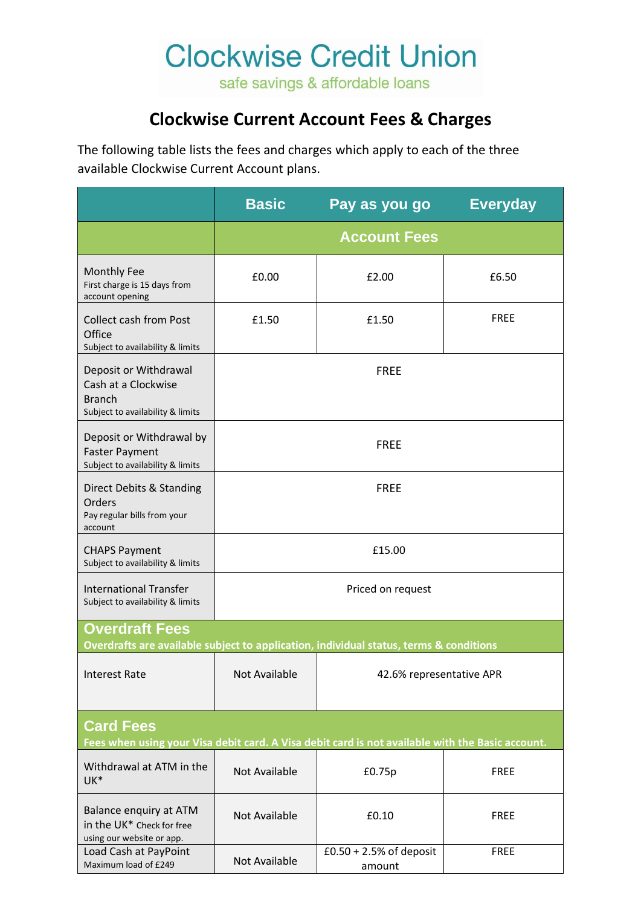## **Clockwise Credit Union**

safe savings & affordable loans

## **Clockwise Current Account Fees & Charges**

The following table lists the fees and charges which apply to each of the three available Clockwise Current Account plans.

|                                                                                                                      | <b>Basic</b>         | Pay as you go                       | <b>Everyday</b> |  |
|----------------------------------------------------------------------------------------------------------------------|----------------------|-------------------------------------|-----------------|--|
|                                                                                                                      |                      | <b>Account Fees</b>                 |                 |  |
| <b>Monthly Fee</b><br>First charge is 15 days from<br>account opening                                                | £0.00                | £2.00                               | £6.50           |  |
| <b>Collect cash from Post</b><br>Office<br>Subject to availability & limits                                          | £1.50                | £1.50                               | <b>FREE</b>     |  |
| Deposit or Withdrawal<br>Cash at a Clockwise<br><b>Branch</b><br>Subject to availability & limits                    | <b>FREE</b>          |                                     |                 |  |
| Deposit or Withdrawal by<br><b>Faster Payment</b><br>Subject to availability & limits                                | <b>FREE</b>          |                                     |                 |  |
| Direct Debits & Standing<br>Orders<br>Pay regular bills from your<br>account                                         | <b>FREE</b>          |                                     |                 |  |
| <b>CHAPS Payment</b><br>Subject to availability & limits                                                             | £15.00               |                                     |                 |  |
| <b>International Transfer</b><br>Subject to availability & limits                                                    | Priced on request    |                                     |                 |  |
| <b>Overdraft Fees</b><br>Overdrafts are available subject to application, individual status, terms & conditions      |                      |                                     |                 |  |
| <b>Interest Rate</b>                                                                                                 | Not Available        | 42.6% representative APR            |                 |  |
| <b>Card Fees</b><br>Fees when using your Visa debit card. A Visa debit card is not available with the Basic account. |                      |                                     |                 |  |
| Withdrawal at ATM in the<br>UK*                                                                                      | Not Available        | £0.75p                              | <b>FREE</b>     |  |
| Balance enquiry at ATM<br>in the UK* Check for free<br>using our website or app.                                     | <b>Not Available</b> | £0.10                               | <b>FREE</b>     |  |
| Load Cash at PayPoint<br>Maximum load of £249                                                                        | Not Available        | $£0.50 + 2.5%$ of deposit<br>amount | <b>FREE</b>     |  |